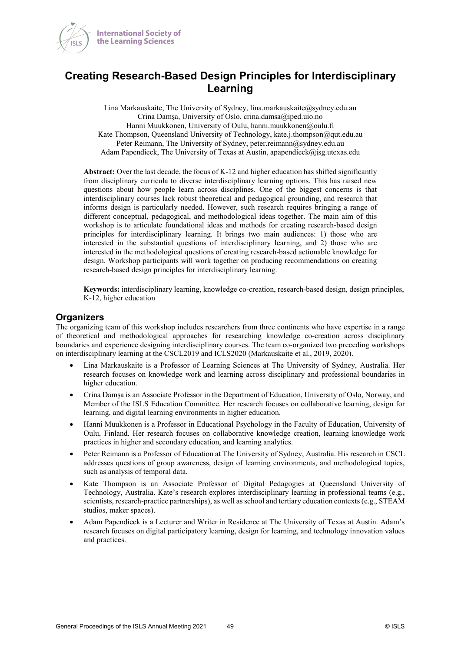



Lina Markauskaite, The University of Sydney, lina.markauskaite@sydney.edu.au Crina Damşa, University of Oslo, crina.damsa@iped.uio.no Hanni Muukkonen, University of Oulu, hanni.muukkonen@oulu.fi Kate Thompson, Queensland University of Technology, kate.j.thompson@qut.edu.au Peter Reimann, The University of Sydney, peter.reimann@sydney.edu.au Adam Papendieck, The University of Texas at Austin, apapendieck@jsg.utexas.edu

**Abstract:** Over the last decade, the focus of K-12 and higher education has shifted significantly from disciplinary curricula to diverse interdisciplinary learning options. This has raised new questions about how people learn across disciplines. One of the biggest concerns is that interdisciplinary courses lack robust theoretical and pedagogical grounding, and research that informs design is particularly needed. However, such research requires bringing a range of different conceptual, pedagogical, and methodological ideas together. The main aim of this workshop is to articulate foundational ideas and methods for creating research-based design principles for interdisciplinary learning. It brings two main audiences: 1) those who are interested in the substantial questions of interdisciplinary learning, and 2) those who are interested in the methodological questions of creating research-based actionable knowledge for design. Workshop participants will work together on producing recommendations on creating research-based design principles for interdisciplinary learning.

**Keywords:** interdisciplinary learning, knowledge co-creation, research-based design, design principles, K-12, higher education

#### **Organizers**

The organizing team of this workshop includes researchers from three continents who have expertise in a range of theoretical and methodological approaches for researching knowledge co-creation across disciplinary boundaries and experience designing interdisciplinary courses. The team co-organized two preceding workshops on interdisciplinary learning at the CSCL2019 and ICLS2020 (Markauskaite et al., 2019, 2020).

- Lina Markauskaite is a Professor of Learning Sciences at The University of Sydney, Australia. Her research focuses on knowledge work and learning across disciplinary and professional boundaries in higher education.
- Crina Damşa is an Associate Professor in the Department of Education, University of Oslo, Norway, and Member of the ISLS Education Committee. Her research focuses on collaborative learning, design for learning, and digital learning environments in higher education.
- Hanni Muukkonen is a Professor in Educational Psychology in the Faculty of Education, University of Oulu, Finland. Her research focuses on collaborative knowledge creation, learning knowledge work practices in higher and secondary education, and learning analytics.
- Peter Reimann is a Professor of Education at The University of Sydney, Australia. His research in CSCL addresses questions of group awareness, design of learning environments, and methodological topics, such as analysis of temporal data.
- Kate Thompson is an Associate Professor of Digital Pedagogies at Queensland University of Technology, Australia. Kate's research explores interdisciplinary learning in professional teams (e.g., scientists, research-practice partnerships), as well as school and tertiary education contexts (e.g., STEAM studios, maker spaces).
- Adam Papendieck is a Lecturer and Writer in Residence at The University of Texas at Austin. Adam's research focuses on digital participatory learning, design for learning, and technology innovation values and practices.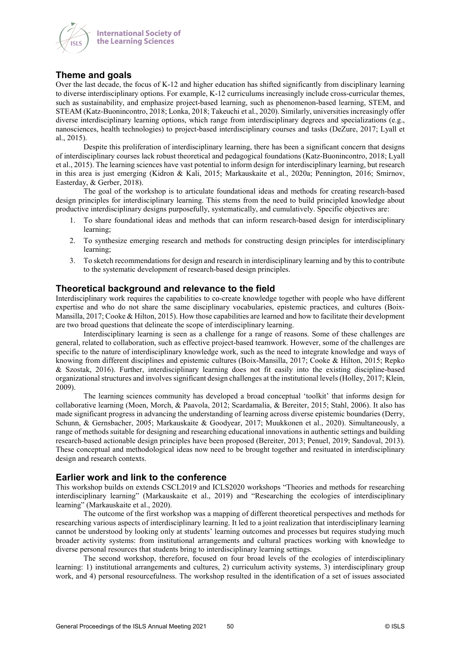

# **Theme and goals**

Over the last decade, the focus of K-12 and higher education has shifted significantly from disciplinary learning to diverse interdisciplinary options. For example, K-12 curriculums increasingly include cross-curricular themes, such as sustainability, and emphasize project-based learning, such as phenomenon-based learning, STEM, and STEAM (Katz-Buonincontro, 2018; Lonka, 2018; Takeuchi et al., 2020). Similarly, universities increasingly offer diverse interdisciplinary learning options, which range from interdisciplinary degrees and specializations (e.g., nanosciences, health technologies) to project-based interdisciplinary courses and tasks (DeZure, 2017; Lyall et al., 2015).

Despite this proliferation of interdisciplinary learning, there has been a significant concern that designs of interdisciplinary courses lack robust theoretical and pedagogical foundations (Katz-Buonincontro, 2018; Lyall et al., 2015). The learning sciences have vast potential to inform design for interdisciplinary learning, but research in this area is just emerging (Kidron & Kali, 2015; Markauskaite et al., 2020a; Pennington, 2016; Smirnov, Easterday, & Gerber, 2018).

The goal of the workshop is to articulate foundational ideas and methods for creating research-based design principles for interdisciplinary learning. This stems from the need to build principled knowledge about productive interdisciplinary designs purposefully, systematically, and cumulatively. Specific objectives are:

- 1. To share foundational ideas and methods that can inform research-based design for interdisciplinary learning;
- 2. To synthesize emerging research and methods for constructing design principles for interdisciplinary learning;
- 3. To sketch recommendations for design and research in interdisciplinary learning and by this to contribute to the systematic development of research-based design principles.

## **Theoretical background and relevance to the field**

Interdisciplinary work requires the capabilities to co-create knowledge together with people who have different expertise and who do not share the same disciplinary vocabularies, epistemic practices, and cultures (Boix-Mansilla, 2017; Cooke & Hilton, 2015). How those capabilities are learned and how to facilitate their development are two broad questions that delineate the scope of interdisciplinary learning.

Interdisciplinary learning is seen as a challenge for a range of reasons. Some of these challenges are general, related to collaboration, such as effective project-based teamwork. However, some of the challenges are specific to the nature of interdisciplinary knowledge work, such as the need to integrate knowledge and ways of knowing from different disciplines and epistemic cultures (Boix-Mansilla, 2017; Cooke & Hilton, 2015; Repko & Szostak, 2016). Further, interdisciplinary learning does not fit easily into the existing discipline-based organizational structures and involves significant design challenges at the institutional levels (Holley, 2017; Klein, 2009).

The learning sciences community has developed a broad conceptual 'toolkit' that informs design for collaborative learning (Moen, Morch, & Paavola, 2012; Scardamalia, & Bereiter, 2015; Stahl, 2006). It also has made significant progress in advancing the understanding of learning across diverse epistemic boundaries (Derry, Schunn, & Gernsbacher, 2005; Markauskaite & Goodyear, 2017; Muukkonen et al., 2020). Simultaneously, a range of methods suitable for designing and researching educational innovations in authentic settings and building research-based actionable design principles have been proposed (Bereiter, 2013; Penuel, 2019; Sandoval, 2013). These conceptual and methodological ideas now need to be brought together and resituated in interdisciplinary design and research contexts.

#### **Earlier work and link to the conference**

This workshop builds on extends CSCL2019 and ICLS2020 workshops "Theories and methods for researching interdisciplinary learning" (Markauskaite et al., 2019) and "Researching the ecologies of interdisciplinary learning" (Markauskaite et al., 2020).

The outcome of the first workshop was a mapping of different theoretical perspectives and methods for researching various aspects of interdisciplinary learning. It led to a joint realization that interdisciplinary learning cannot be understood by looking only at students' learning outcomes and processes but requires studying much broader activity systems: from institutional arrangements and cultural practices working with knowledge to diverse personal resources that students bring to interdisciplinary learning settings.

The second workshop, therefore, focused on four broad levels of the ecologies of interdisciplinary learning: 1) institutional arrangements and cultures, 2) curriculum activity systems, 3) interdisciplinary group work, and 4) personal resourcefulness. The workshop resulted in the identification of a set of issues associated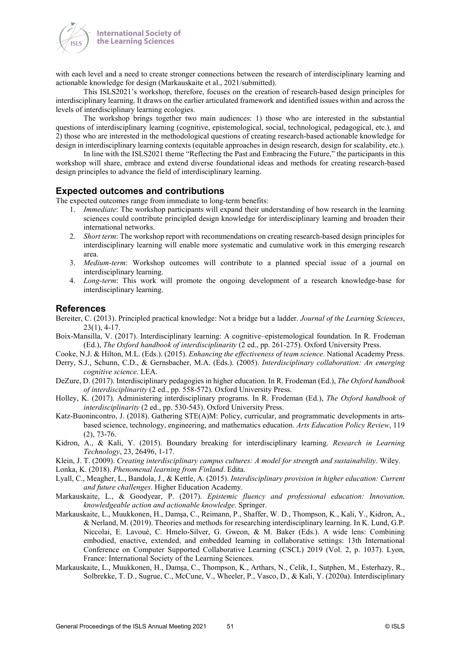

with each level and a need to create stronger connections between the research of interdisciplinary learning and actionable knowledge for design (Markauskaite et al., 2021/submitted).

This ISLS2021's workshop, therefore, focuses on the creation of research-based design principles for interdisciplinary learning. It draws on the earlier articulated framework and identified issues within and across the levels of interdisciplinary learning ecologies.

The workshop brings together two main audiences: 1) those who are interested in the substantial questions of interdisciplinary learning (cognitive, epistemological, social, technological, pedagogical, etc.), and 2) those who are interested in the methodological questions of creating research-based actionable knowledge for design in interdisciplinary learning contexts (equitable approaches in design research, design for scalability, etc.).

In line with the ISLS2021 theme "Reflecting the Past and Embracing the Future," the participants in this workshop will share, embrace and extend diverse foundational ideas and methods for creating research-based design principles to advance the field of interdisciplinary learning.

#### **Expected outcomes and contributions**

The expected outcomes range from immediate to long-term benefits:

- 1. *Immediate*: The workshop participants will expand their understanding of how research in the learning sciences could contribute principled design knowledge for interdisciplinary learning and broaden their international networks.
- 2. *Short term*: The workshop report with recommendations on creating research-based design principles for interdisciplinary learning will enable more systematic and cumulative work in this emerging research area.
- 3. *Medium-term*: Workshop outcomes will contribute to a planned special issue of a journal on interdisciplinary learning.
- 4. *Long-term*: This work will promote the ongoing development of a research knowledge-base for interdisciplinary learning.

#### **References**

- Bereiter, C. (2013). Principled practical knowledge: Not a bridge but a ladder. *Journal of the Learning Sciences*, 23(1), 4-17.
- Boix-Mansilla, V. (2017). Interdisciplinary learning: A cognitive–epistemological foundation. In R. Frodeman (Ed.), *The Oxford handbook of interdisciplinarity* (2 ed., pp. 261-275). Oxford University Press.
- Cooke, N.J. & Hilton, M.L. (Eds.). (2015). *Enhancing the effectiveness of team science*. National Academy Press.
- Derry, S.J., Schunn, C.D., & Gernsbacher, M.A. (Eds.). (2005). *Interdisciplinary collaboration: An emerging cognitive science*. LEA.
- DeZure, D. (2017). Interdisciplinary pedagogies in higher education. In R. Frodeman (Ed.), *The Oxford handbook of interdisciplinarity* (2 ed., pp. 558-572). Oxford University Press.
- Holley, K. (2017). Administering interdisciplinary programs. In R. Frodeman (Ed.), *The Oxford handbook of interdisciplinarity* (2 ed., pp. 530-543). Oxford University Press.
- Katz-Buonincontro, J. (2018). Gathering STE(A)M: Policy, curricular, and programmatic developments in artsbased science, technology, engineering, and mathematics education. *Arts Education Policy Review*, 119 (2), 73-76.
- Kidron, A., & Kali, Y. (2015). Boundary breaking for interdisciplinary learning. *Research in Learning Technology*, 23, 26496, 1-17.
- Klein, J. T. (2009). *Creating interdisciplinary campus cultures: A model for strength and sustainability*. Wiley.
- Lonka, K. (2018). *Phenomenal learning from Finland*. Edita.
- Lyall, C., Meagher, L., Bandola, J., & Kettle, A. (2015). *Interdisciplinary provision in higher education: Current and future challenges*. Higher Education Academy.
- Markauskaite, L., & Goodyear, P. (2017). *Epistemic fluency and professional education: Innovation, knowledgeable action and actionable knowledge*. Springer.
- Markauskaite, L., Muukkonen, H., Damşa, C., Reimann, P., Shaffer, W. D., Thompson, K., Kali, Y., Kidron, A., & Nerland, M. (2019). Theories and methods for researching interdisciplinary learning. In K. Lund, G.P. Niccolai, E. Lavoué, C. Hmelo-Silver, G. Gweon, & M. Baker (Eds.). A wide lens: Combining embodied, enactive, extended, and embedded learning in collaborative settings: 13th International Conference on Computer Supported Collaborative Learning (CSCL) 2019 (Vol. 2, p. 1037). Lyon, France: International Society of the Learning Sciences.
- Markauskaite, L., Muukkonen, H., Damşa, C., Thompson, K., Arthars, N., Celik, I., Sutphen, M., Esterhazy, R., Solbrekke, T. D., Sugrue, C., McCune, V., Wheeler, P., Vasco, D., & Kali, Y. (2020a). Interdisciplinary